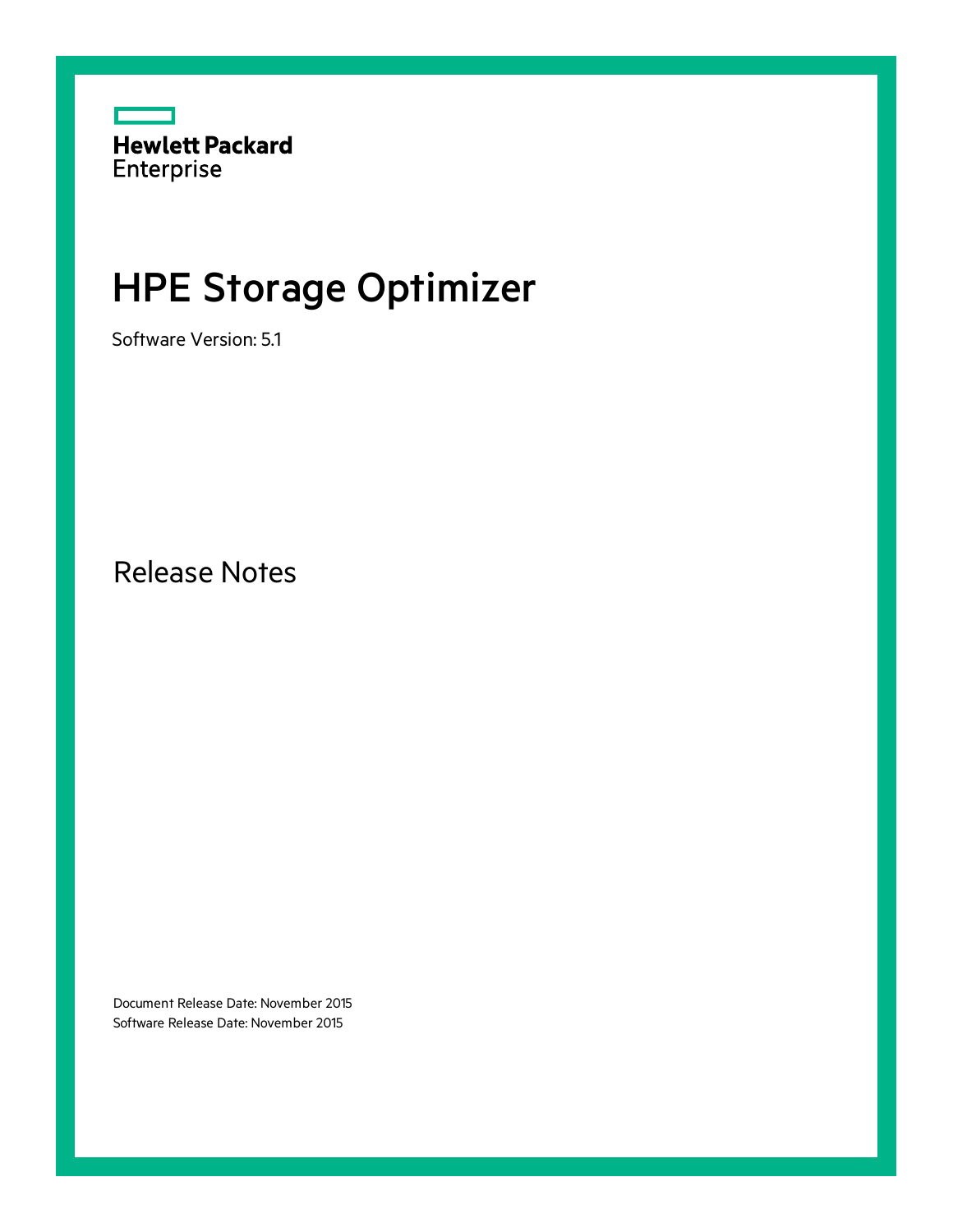

# HPE Storage Optimizer

Software Version: 5.1

Release Notes

Document Release Date: November 2015 Software Release Date: November 2015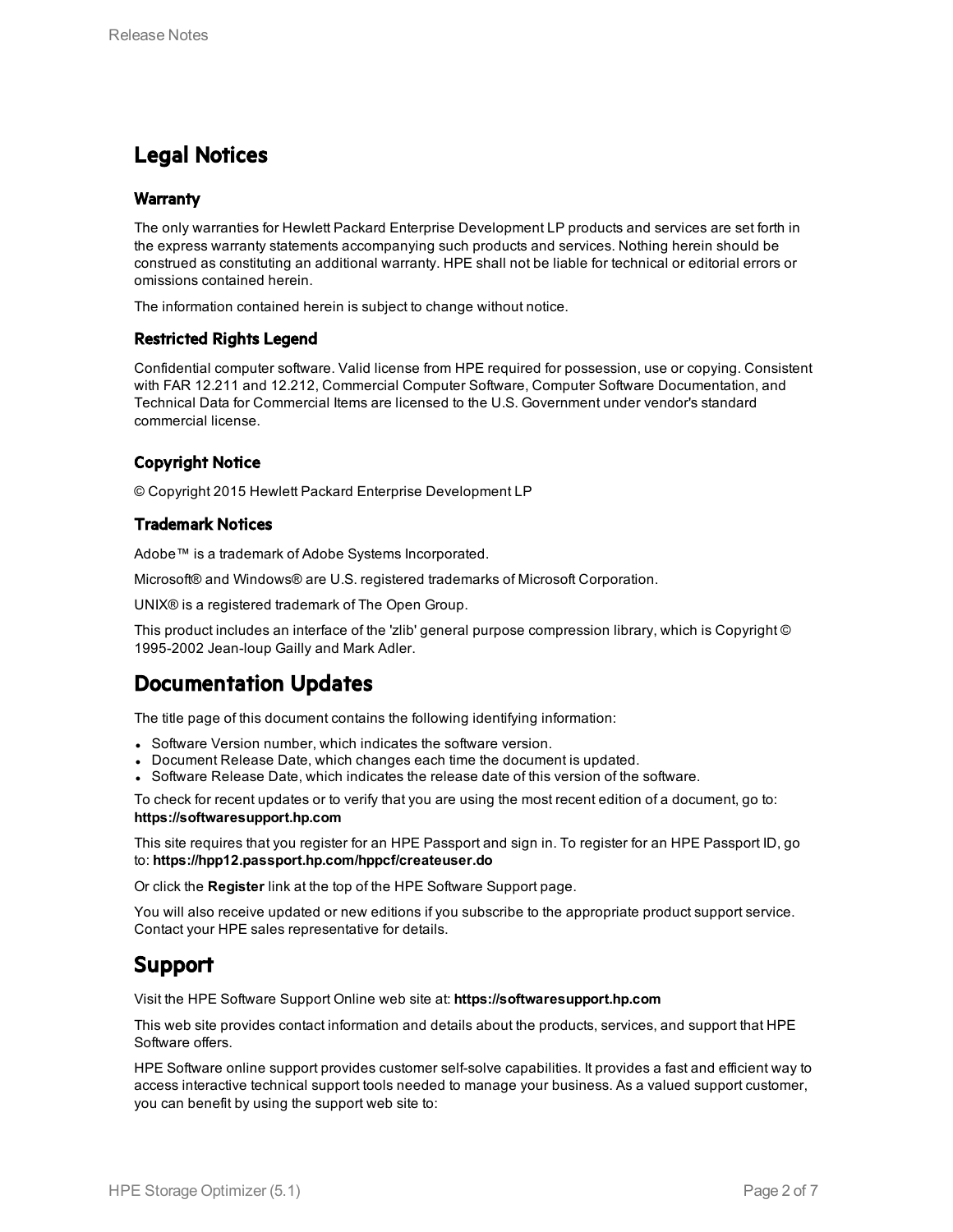## Legal Notices

### **Warranty**

The only warranties for Hewlett Packard Enterprise Development LP products and services are set forth in the express warranty statements accompanying such products and services. Nothing herein should be construed as constituting an additional warranty. HPE shall not be liable for technical or editorial errors or omissions contained herein.

The information contained herein is subject to change without notice.

### Restricted Rights Legend

Confidential computer software. Valid license from HPE required for possession, use or copying. Consistent with FAR 12.211 and 12.212, Commercial Computer Software, Computer Software Documentation, and Technical Data for Commercial Items are licensed to the U.S. Government under vendor's standard commercial license.

### Copyright Notice

© Copyright 2015 Hewlett Packard Enterprise Development LP

### Trademark Notices

Adobe™ is a trademark of Adobe Systems Incorporated.

Microsoft® and Windows® are U.S. registered trademarks of Microsoft Corporation.

UNIX® is a registered trademark of The Open Group.

This product includes an interface of the 'zlib' general purpose compression library, which is Copyright © 1995-2002 Jean-loup Gailly and Mark Adler.

## Documentation Updates

The title page of this document contains the following identifying information:

- Software Version number, which indicates the software version.
- Document Release Date, which changes each time the document is updated.
- <sup>l</sup> Software Release Date, which indicates the release date of this version of the software.

To check for recent updates or to verify that you are using the most recent edition of a document, go to: **https://softwaresupport.hp.com**

This site requires that you register for an HPE Passport and sign in. To register for an HPE Passport ID, go to: **https://hpp12.passport.hp.com/hppcf/createuser.do**

Or click the **Register** link at the top of the HPE Software Support page.

You will also receive updated or new editions if you subscribe to the appropriate product support service. Contact your HPE sales representative for details.

## Support

Visit the HPE Software Support Online web site at: **https://softwaresupport.hp.com**

This web site provides contact information and details about the products, services, and support that HPE Software offers.

HPE Software online support provides customer self-solve capabilities. It provides a fast and efficient way to access interactive technical support tools needed to manage your business. As a valued support customer, you can benefit by using the support web site to: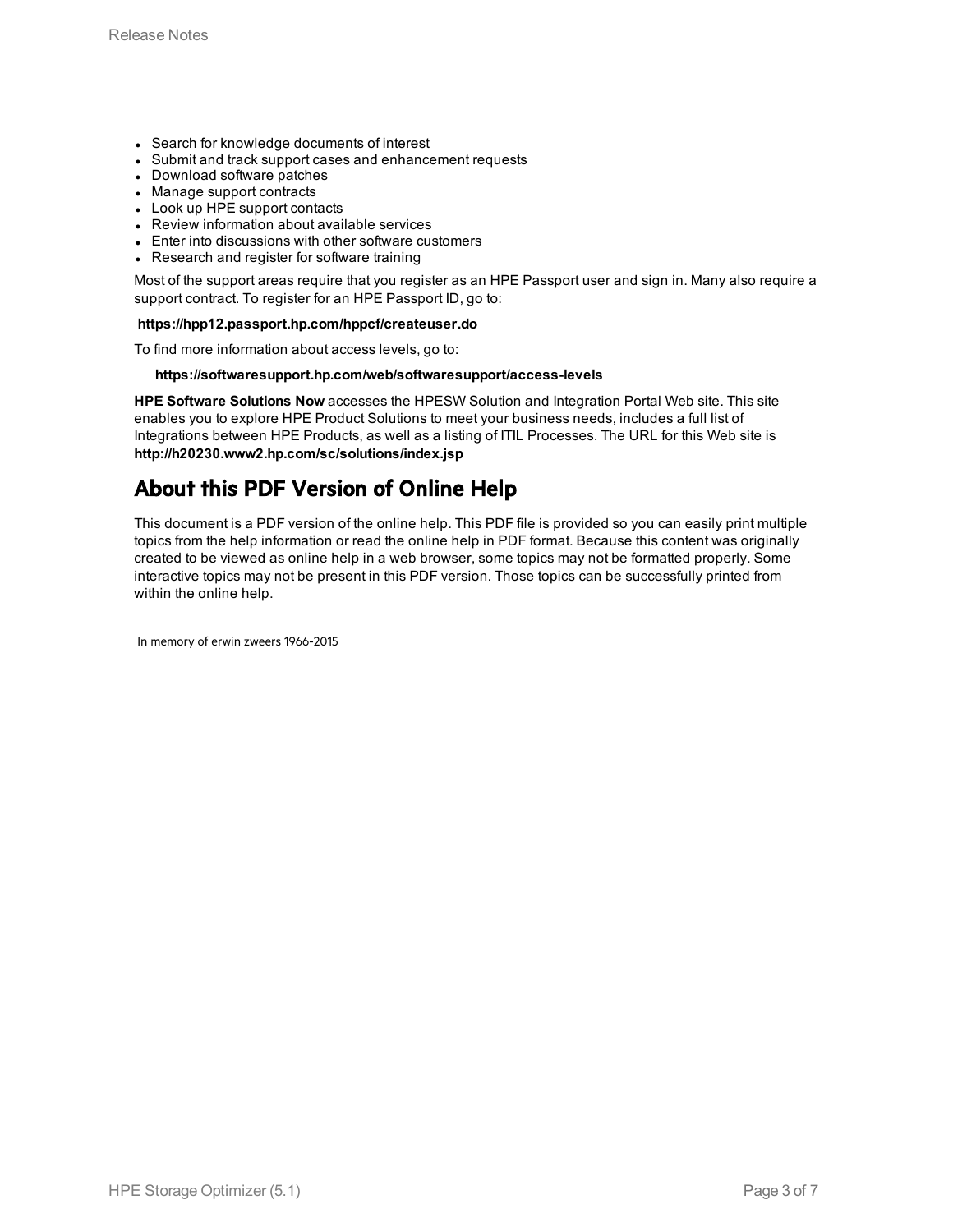- Search for knowledge documents of interest
- Submit and track support cases and enhancement requests
- Download software patches
- Manage support contracts
- Look up HPE support contacts
- Review information about available services
- Enter into discussions with other software customers
- Research and register for software training

Most of the support areas require that you register as an HPE Passport user and sign in. Many also require a support contract. To register for an HPE Passport ID, go to:

#### **https://hpp12.passport.hp.com/hppcf/createuser.do**

To find more information about access levels, go to:

#### **https://softwaresupport.hp.com/web/softwaresupport/access-levels**

**HPE Software Solutions Now** accesses the HPESW Solution and Integration Portal Web site. This site enables you to explore HPE Product Solutions to meet your business needs, includes a full list of Integrations between HPE Products, as well as a listing of ITIL Processes. The URL for this Web site is **http://h20230.www2.hp.com/sc/solutions/index.jsp**

## About this PDF Version of Online Help

This document is a PDF version of the online help. This PDF file is provided so you can easily print multiple topics from the help information or read the online help in PDF format. Because this content was originally created to be viewed as online help in a web browser, some topics may not be formatted properly. Some interactive topics may not be present in this PDF version. Those topics can be successfully printed from within the online help.

In memory of erwin zweers 1966-2015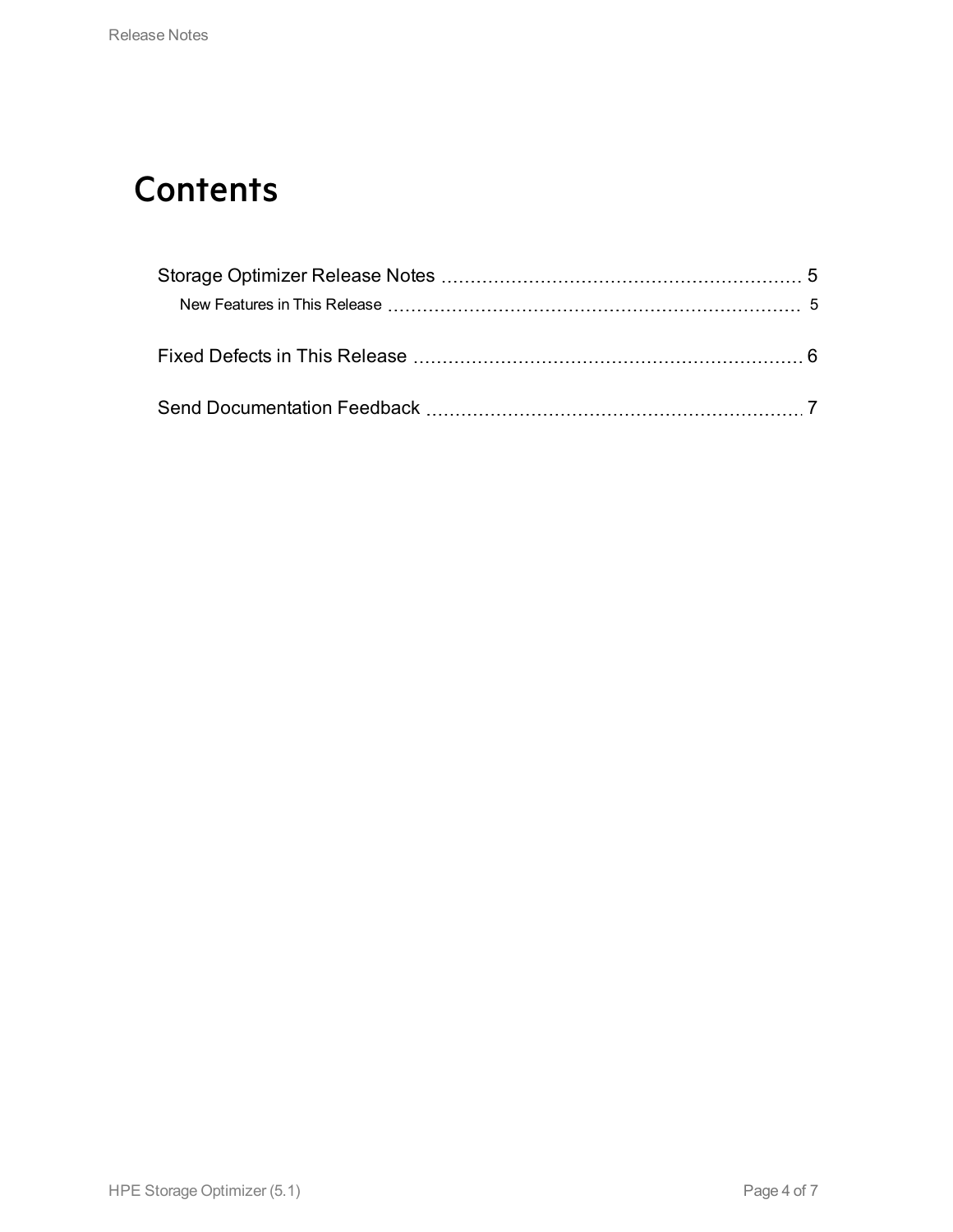## **Contents**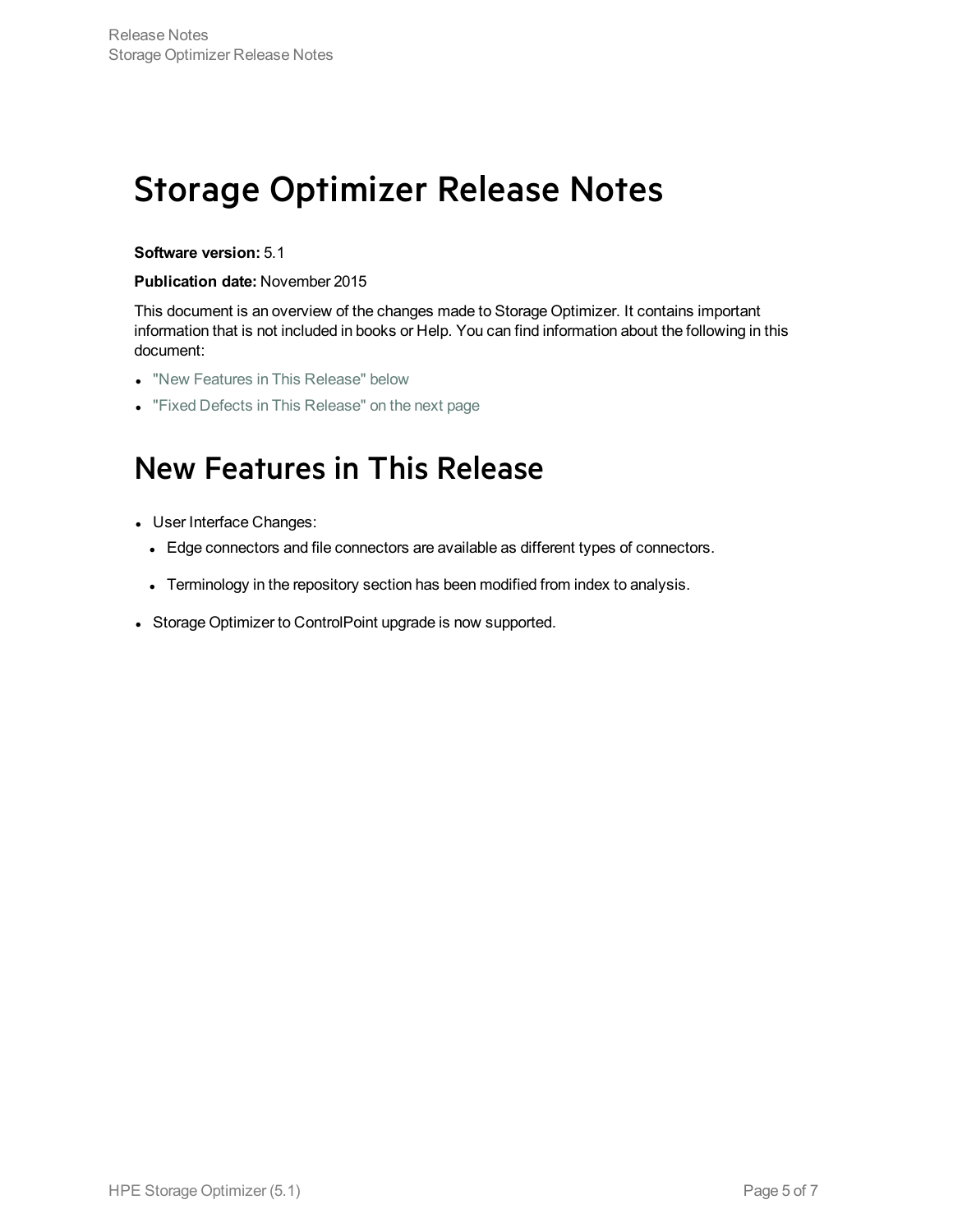## <span id="page-4-0"></span>Storage Optimizer Release Notes

### **Software version:** 5.1

#### **Publication date:** November 2015

This document is an overview of the changes made to Storage Optimizer. It contains important information that is not included in books or Help. You can find information about the following in this document:

- "New Features in This [Release"](#page-4-1) below
- <span id="page-4-1"></span>• "Fixed Defects in This [Release"](#page-5-0) on the next page

## New Features in This Release

- User Interface Changes:
	- Edge connectors and file connectors are available as different types of connectors.
	- Terminology in the repository section has been modified from index to analysis.
- Storage Optimizer to ControlPoint upgrade is now supported.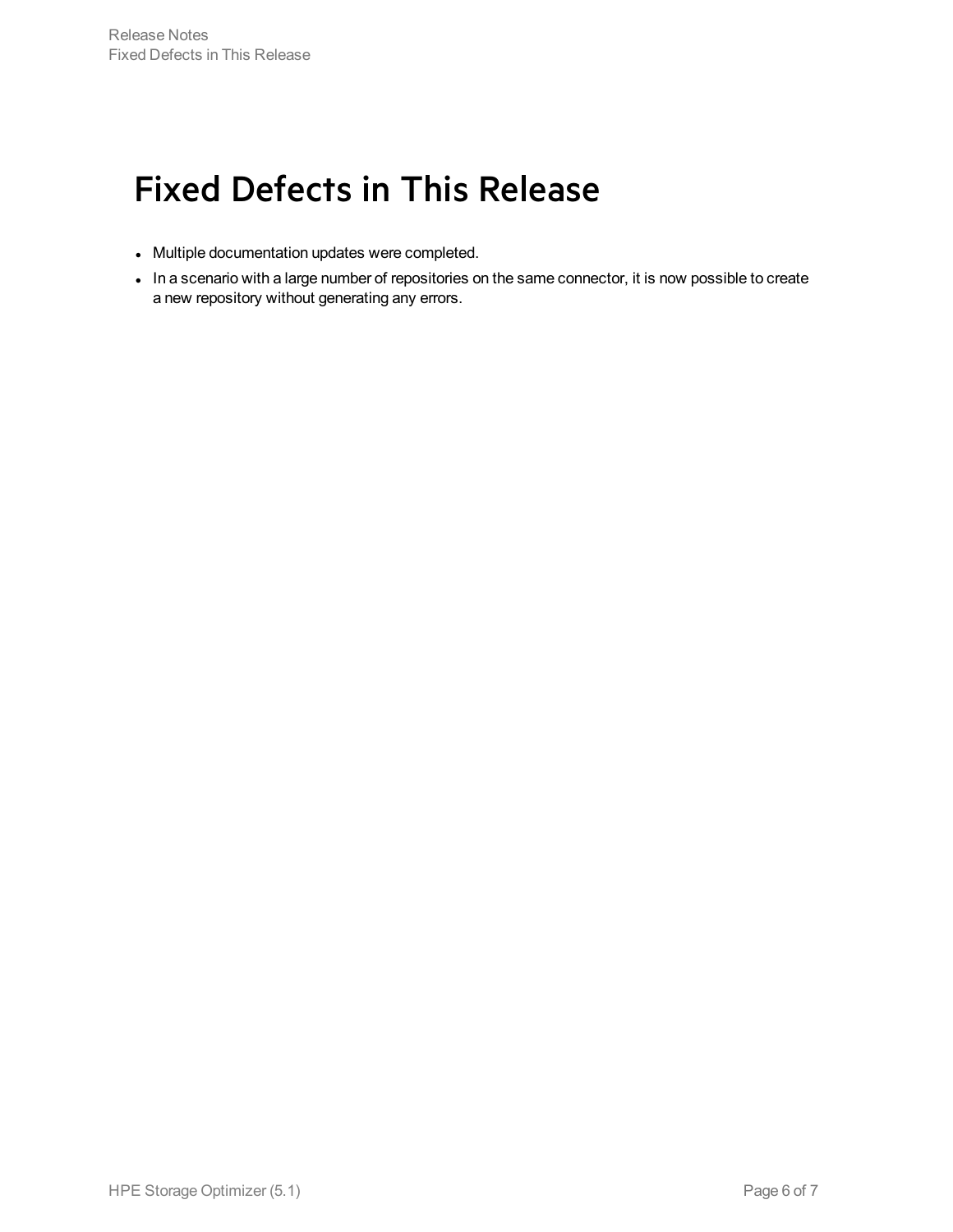## <span id="page-5-0"></span>Fixed Defects in This Release

- Multiple documentation updates were completed.
- In a scenario with a large number of repositories on the same connector, it is now possible to create a new repository without generating any errors.